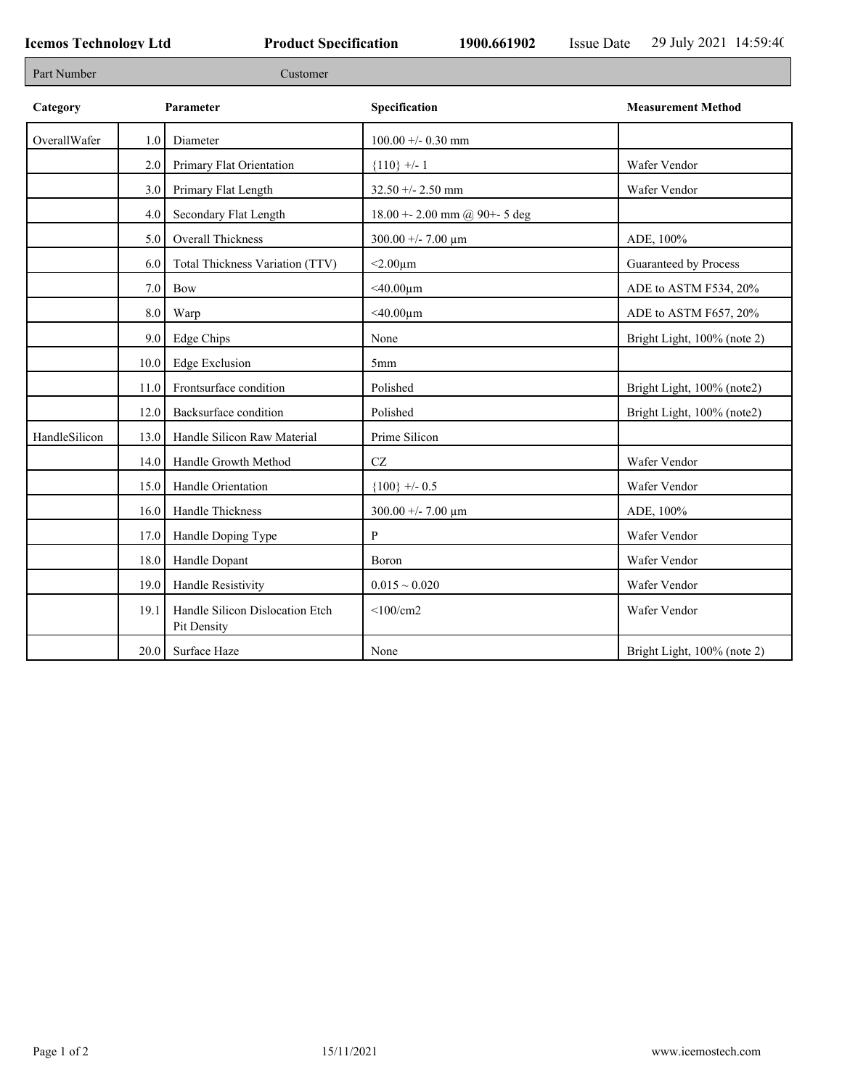| Part Number   |      | Customer                                       |                                 |                             |
|---------------|------|------------------------------------------------|---------------------------------|-----------------------------|
| Category      |      | Parameter                                      | Specification                   | <b>Measurement Method</b>   |
| OverallWafer  | 1.0  | Diameter                                       | $100.00 + - 0.30$ mm            |                             |
|               | 2.0  | Primary Flat Orientation                       | ${110}$ +/- 1                   | Wafer Vendor                |
|               | 3.0  | Primary Flat Length                            | $32.50 + - 2.50$ mm             | Wafer Vendor                |
|               | 4.0  | Secondary Flat Length                          | 18.00 + - 2.00 mm @ 90+ - 5 deg |                             |
|               | 5.0  | Overall Thickness                              | 300.00 +/- 7.00 $\mu$ m         | ADE, 100%                   |
|               | 6.0  | Total Thickness Variation (TTV)                | $<$ 2.00 $\mu$ m                | Guaranteed by Process       |
|               | 7.0  | Bow                                            | $<$ 40.00 $\mu$ m               | ADE to ASTM F534, 20%       |
|               | 8.0  | Warp                                           | $<$ 40.00 $\mu$ m               | ADE to ASTM F657, 20%       |
|               | 9.0  | <b>Edge Chips</b>                              | None                            | Bright Light, 100% (note 2) |
|               | 10.0 | <b>Edge Exclusion</b>                          | 5mm                             |                             |
|               | 11.0 | Frontsurface condition                         | Polished                        | Bright Light, 100% (note2)  |
|               | 12.0 | Backsurface condition                          | Polished                        | Bright Light, 100% (note2)  |
| HandleSilicon | 13.0 | Handle Silicon Raw Material                    | Prime Silicon                   |                             |
|               | 14.0 | Handle Growth Method                           | CZ                              | Wafer Vendor                |
|               | 15.0 | Handle Orientation                             | ${100}$ +/- 0.5                 | Wafer Vendor                |
|               | 16.0 | Handle Thickness                               | 300.00 +/- 7.00 $\mu$ m         | ADE, 100%                   |
|               | 17.0 | Handle Doping Type                             | P                               | Wafer Vendor                |
|               | 18.0 | Handle Dopant                                  | Boron                           | Wafer Vendor                |
|               | 19.0 | Handle Resistivity                             | $0.015 \sim 0.020$              | Wafer Vendor                |
|               | 19.1 | Handle Silicon Dislocation Etch<br>Pit Density | $<$ 100/cm2                     | Wafer Vendor                |
|               |      | 20.0 Surface Haze                              | None                            | Bright Light, 100% (note 2) |